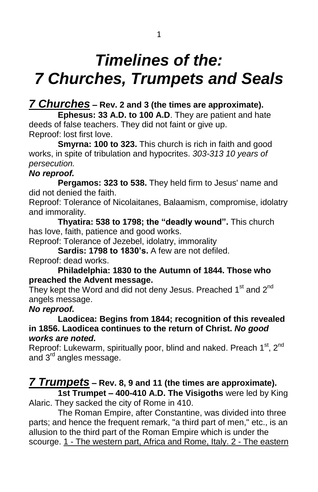# *Timelines of the: 7 Churches, Trumpets and Seals*

### *7 Churches* **– Rev. 2 and 3 (the times are approximate).**

**Ephesus: 33 A.D. to 100 A.D**. They are patient and hate deeds of false teachers. They did not faint or give up. Reproof: lost first love.

**Smyrna: 100 to 323.** This church is rich in faith and good works, in spite of tribulation and hypocrites. *303-313 10 years of persecution.*

#### *No reproof.*

**Pergamos: 323 to 538.** They held firm to Jesus' name and did not denied the faith.

Reproof: Tolerance of Nicolaitanes, Balaamism, compromise, idolatry and immorality.

**Thyatira: 538 to 1798; the "deadly wound".** This church has love, faith, patience and good works.

Reproof: Tolerance of Jezebel, idolatry, immorality

**Sardis: 1798 to 1830's.** A few are not defiled. Reproof: dead works.

#### **Philadelphia: 1830 to the Autumn of 1844. Those who preached the Advent message.**

They kept the Word and did not deny Jesus. Preached  $1<sup>st</sup>$  and  $2<sup>nd</sup>$ angels message.

#### *No reproof.*

**Laodicea: Begins from 1844; recognition of this revealed in 1856. Laodicea continues to the return of Christ.** *No good works are noted.*

Reproof: Lukewarm, spiritually poor, blind and naked. Preach 1<sup>st</sup>, 2<sup>nd</sup> and 3<sup>rd</sup> angles message.

## *7 Trumpets* **– Rev. 8, 9 and 11 (the times are approximate).**

**1st Trumpet – 400-410 A.D. The Visigoths** were led by King Alaric. They sacked the city of Rome in 410.

The Roman Empire, after Constantine, was divided into three parts; and hence the frequent remark, "a third part of men," etc., is an allusion to the third part of the Roman Empire which is under the scourge. 1 - The western part, Africa and Rome, Italy. 2 - The eastern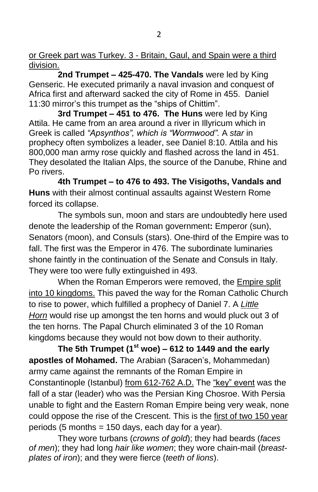or Greek part was Turkey. 3 - Britain, Gaul, and Spain were a third division.

**2nd Trumpet – 425-470. The Vandals** were led by King Genseric. He executed primarily a naval invasion and conquest of Africa first and afterward sacked the city of Rome in 455. Daniel 11:30 mirror's this trumpet as the "ships of Chittim".

**3rd Trumpet – 451 to 476. The Huns** were led by King Attila. He came from an area around a river in Illyricum which in Greek is called *"Apsynthos", which is "Wormwood".* A *star* in prophecy often symbolizes a leader, see Daniel 8:10. Attila and his 800,000 man army rose quickly and flashed across the land in 451. They desolated the Italian Alps, the source of the Danube, Rhine and Po rivers.

**4th Trumpet – to 476 to 493. The Visigoths, Vandals and Huns** with their almost continual assaults against Western Rome forced its collapse.

The symbols sun, moon and stars are undoubtedly here used denote the leadership of the Roman government**:** Emperor (sun), Senators (moon), and Consuls (stars). One-third of the Empire was to fall. The first was the Emperor in 476. The subordinate luminaries shone faintly in the continuation of the Senate and Consuls in Italy. They were too were fully extinguished in 493.

When the Roman Emperors were removed, the Empire split into 10 kingdoms. This paved the way for the Roman Catholic Church to rise to power, which fulfilled a prophecy of Daniel 7. A *Little Horn* would rise up amongst the ten horns and would pluck out 3 of the ten horns. The Papal Church eliminated 3 of the 10 Roman kingdoms because they would not bow down to their authority.

**The 5th Trumpet (1st woe) – 612 to 1449 and the early apostles of Mohamed.** The Arabian (Saracen's, Mohammedan) army came against the remnants of the Roman Empire in Constantinople (Istanbul) from 612-762 A.D. The "key" event was the fall of a star (leader) who was the Persian King Chosroe. With Persia unable to fight and the Eastern Roman Empire being very weak, none could oppose the rise of the Crescent. This is the first of two 150 year periods (5 months = 150 days, each day for a year).

They wore turbans (*crowns of gold*); they had beards (*faces of men*); they had long *hair like women*; they wore chain-mail (*breastplates of iron*); and they were fierce (*teeth of lions*).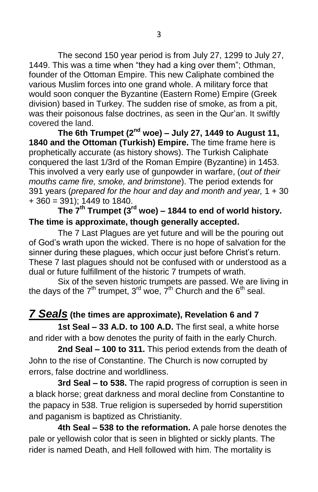The second 150 year period is from July 27, 1299 to July 27, 1449. This was a time when "they had a king over them"; Othman, founder of the Ottoman Empire. This new Caliphate combined the various Muslim forces into one grand whole. A military force that would soon conquer the Byzantine (Eastern Rome) Empire (Greek division) based in Turkey. The sudden rise of smoke, as from a pit, was their poisonous false doctrines, as seen in the Qur'an. It swiftly covered the land.

**The 6th Trumpet (2nd woe) – July 27, 1449 to August 11, 1840 and the Ottoman (Turkish) Empire.** The time frame here is prophetically accurate (as history shows). The Turkish Caliphate conquered the last 1/3rd of the Roman Empire (Byzantine) in 1453. This involved a very early use of gunpowder in warfare, (*out of their mouths came fire, smoke, and brimstone*). The period extends for 391 years (*prepared for the hour and day and month and year,* 1 + 30  $+360 = 391$ ; 1449 to 1840.

**The 7th Trumpet (3rd woe) – 1844 to end of world history. The time is approximate, though generally accepted.**

The 7 Last Plagues are yet future and will be the pouring out of God's wrath upon the wicked. There is no hope of salvation for the sinner during these plagues, which occur just before Christ's return. These 7 last plagues should not be confused with or understood as a dual or future fulfillment of the historic 7 trumpets of wrath.

Six of the seven historic trumpets are passed. We are living in the days of the 7<sup>th</sup> trumpet, 3<sup>rd</sup> woe, 7<sup>th</sup> Church and the 6<sup>th</sup> seal.

### *7 Seals* **(the times are approximate), Revelation 6 and 7**

**1st Seal – 33 A.D. to 100 A.D.** The first seal, a white horse and rider with a bow denotes the purity of faith in the early Church.

**2nd Seal – 100 to 311.** This period extends from the death of John to the rise of Constantine. The Church is now corrupted by errors, false doctrine and worldliness.

**3rd Seal – to 538.** The rapid progress of corruption is seen in a black horse; great darkness and moral decline from Constantine to the papacy in 538. True religion is superseded by horrid superstition and paganism is baptized as Christianity.

**4th Seal – 538 to the reformation.** A pale horse denotes the pale or yellowish color that is seen in blighted or sickly plants. The rider is named Death, and Hell followed with him. The mortality is